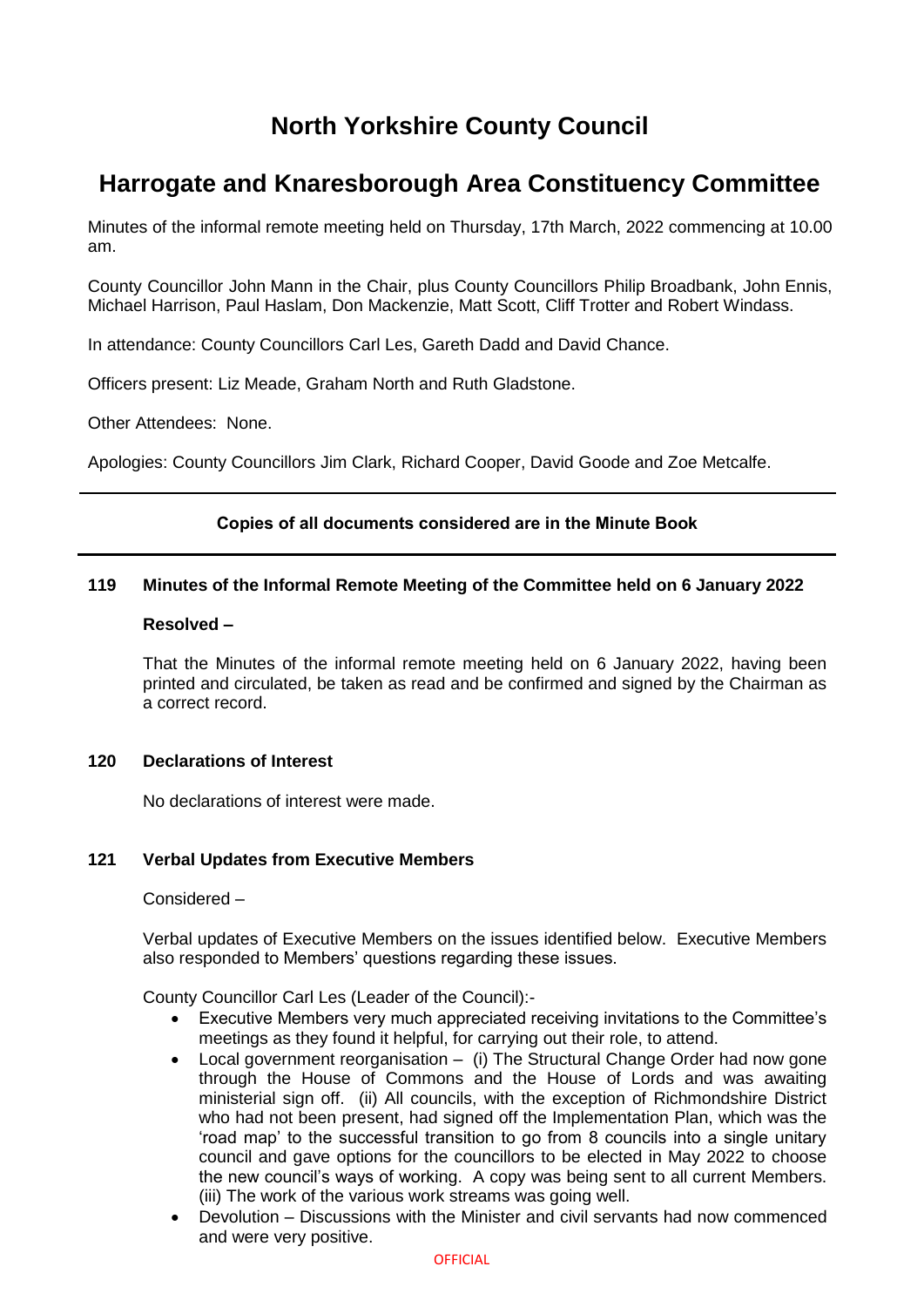# **North Yorkshire County Council**

# **Harrogate and Knaresborough Area Constituency Committee**

Minutes of the informal remote meeting held on Thursday, 17th March, 2022 commencing at 10.00 am.

County Councillor John Mann in the Chair, plus County Councillors Philip Broadbank, John Ennis, Michael Harrison, Paul Haslam, Don Mackenzie, Matt Scott, Cliff Trotter and Robert Windass.

In attendance: County Councillors Carl Les, Gareth Dadd and David Chance.

Officers present: Liz Meade, Graham North and Ruth Gladstone.

Other Attendees: None.

Apologies: County Councillors Jim Clark, Richard Cooper, David Goode and Zoe Metcalfe.

# **Copies of all documents considered are in the Minute Book**

# **119 Minutes of the Informal Remote Meeting of the Committee held on 6 January 2022**

#### **Resolved –**

That the Minutes of the informal remote meeting held on 6 January 2022, having been printed and circulated, be taken as read and be confirmed and signed by the Chairman as a correct record.

# **120 Declarations of Interest**

No declarations of interest were made.

# **121 Verbal Updates from Executive Members**

Considered –

Verbal updates of Executive Members on the issues identified below. Executive Members also responded to Members' questions regarding these issues.

County Councillor Carl Les (Leader of the Council):-

- Executive Members very much appreciated receiving invitations to the Committee's meetings as they found it helpful, for carrying out their role, to attend.
- Local government reorganisation (i) The Structural Change Order had now gone through the House of Commons and the House of Lords and was awaiting ministerial sign off. (ii) All councils, with the exception of Richmondshire District who had not been present, had signed off the Implementation Plan, which was the 'road map' to the successful transition to go from 8 councils into a single unitary council and gave options for the councillors to be elected in May 2022 to choose the new council's ways of working. A copy was being sent to all current Members. (iii) The work of the various work streams was going well.
- Devolution Discussions with the Minister and civil servants had now commenced and were very positive.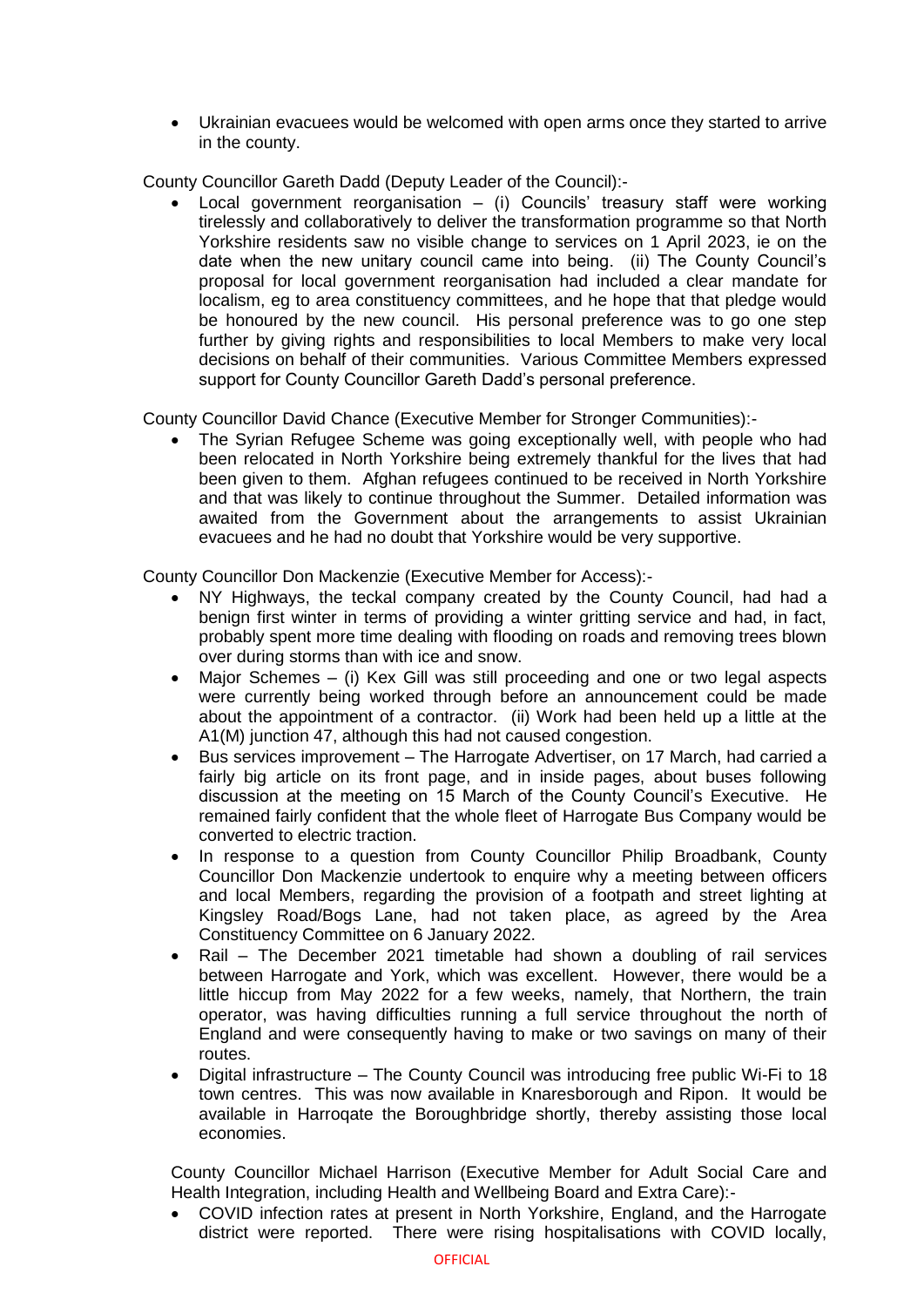Ukrainian evacuees would be welcomed with open arms once they started to arrive in the county.

County Councillor Gareth Dadd (Deputy Leader of the Council):-

Local government reorganisation  $-$  (i) Councils' treasury staff were working tirelessly and collaboratively to deliver the transformation programme so that North Yorkshire residents saw no visible change to services on 1 April 2023, ie on the date when the new unitary council came into being. (ii) The County Council's proposal for local government reorganisation had included a clear mandate for localism, eg to area constituency committees, and he hope that that pledge would be honoured by the new council. His personal preference was to go one step further by giving rights and responsibilities to local Members to make very local decisions on behalf of their communities. Various Committee Members expressed support for County Councillor Gareth Dadd's personal preference.

County Councillor David Chance (Executive Member for Stronger Communities):-

 The Syrian Refugee Scheme was going exceptionally well, with people who had been relocated in North Yorkshire being extremely thankful for the lives that had been given to them. Afghan refugees continued to be received in North Yorkshire and that was likely to continue throughout the Summer. Detailed information was awaited from the Government about the arrangements to assist Ukrainian evacuees and he had no doubt that Yorkshire would be very supportive.

County Councillor Don Mackenzie (Executive Member for Access):-

- NY Highways, the teckal company created by the County Council, had had a benign first winter in terms of providing a winter gritting service and had, in fact, probably spent more time dealing with flooding on roads and removing trees blown over during storms than with ice and snow.
- Major Schemes (i) Kex Gill was still proceeding and one or two legal aspects were currently being worked through before an announcement could be made about the appointment of a contractor. (ii) Work had been held up a little at the A1(M) junction 47, although this had not caused congestion.
- Bus services improvement The Harrogate Advertiser, on 17 March, had carried a fairly big article on its front page, and in inside pages, about buses following discussion at the meeting on 15 March of the County Council's Executive. He remained fairly confident that the whole fleet of Harrogate Bus Company would be converted to electric traction.
- In response to a question from County Councillor Philip Broadbank, County Councillor Don Mackenzie undertook to enquire why a meeting between officers and local Members, regarding the provision of a footpath and street lighting at Kingsley Road/Bogs Lane, had not taken place, as agreed by the Area Constituency Committee on 6 January 2022.
- Rail The December 2021 timetable had shown a doubling of rail services between Harrogate and York, which was excellent. However, there would be a little hiccup from May 2022 for a few weeks, namely, that Northern, the train operator, was having difficulties running a full service throughout the north of England and were consequently having to make or two savings on many of their routes.
- Digital infrastructure The County Council was introducing free public Wi-Fi to 18 town centres. This was now available in Knaresborough and Ripon. It would be available in Harroqate the Boroughbridge shortly, thereby assisting those local economies.

County Councillor Michael Harrison (Executive Member for Adult Social Care and Health Integration, including Health and Wellbeing Board and Extra Care):-

 COVID infection rates at present in North Yorkshire, England, and the Harrogate district were reported. There were rising hospitalisations with COVID locally,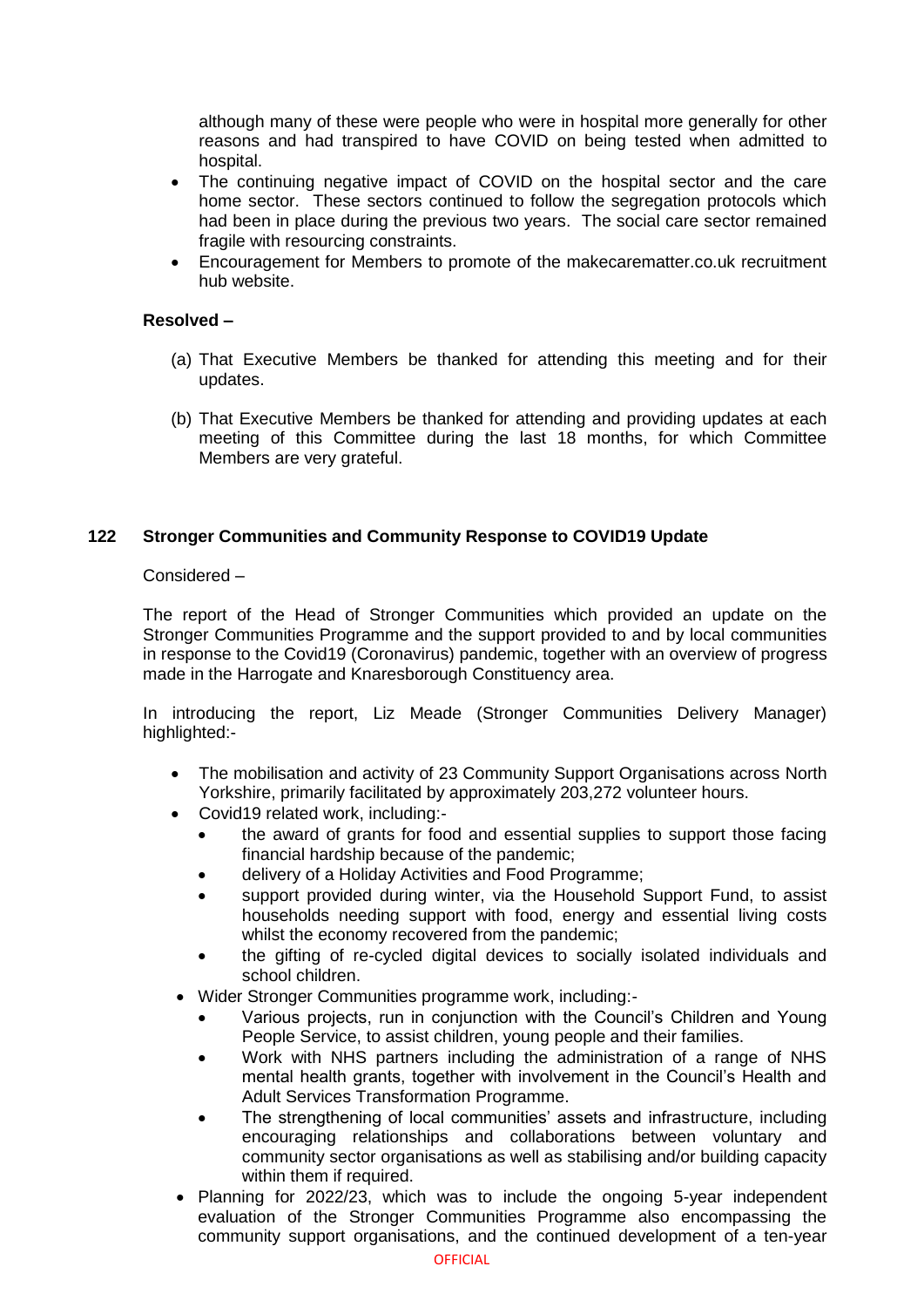although many of these were people who were in hospital more generally for other reasons and had transpired to have COVID on being tested when admitted to hospital.

- The continuing negative impact of COVID on the hospital sector and the care home sector. These sectors continued to follow the segregation protocols which had been in place during the previous two years. The social care sector remained fragile with resourcing constraints.
- Encouragement for Members to promote of the makecarematter.co.uk recruitment hub website.

### **Resolved –**

- (a) That Executive Members be thanked for attending this meeting and for their updates.
- (b) That Executive Members be thanked for attending and providing updates at each meeting of this Committee during the last 18 months, for which Committee Members are very grateful.

# **122 Stronger Communities and Community Response to COVID19 Update**

## Considered –

The report of the Head of Stronger Communities which provided an update on the Stronger Communities Programme and the support provided to and by local communities in response to the Covid19 (Coronavirus) pandemic, together with an overview of progress made in the Harrogate and Knaresborough Constituency area.

In introducing the report, Liz Meade (Stronger Communities Delivery Manager) highlighted:-

- The mobilisation and activity of 23 Community Support Organisations across North Yorkshire, primarily facilitated by approximately 203,272 volunteer hours.
- Covid19 related work, including:
	- the award of grants for food and essential supplies to support those facing financial hardship because of the pandemic;
	- delivery of a Holiday Activities and Food Programme;
	- support provided during winter, via the Household Support Fund, to assist households needing support with food, energy and essential living costs whilst the economy recovered from the pandemic;
	- the gifting of re-cycled digital devices to socially isolated individuals and school children.
- Wider Stronger Communities programme work, including:-
	- Various projects, run in conjunction with the Council's Children and Young People Service, to assist children, young people and their families.
	- Work with NHS partners including the administration of a range of NHS mental health grants, together with involvement in the Council's Health and Adult Services Transformation Programme.
	- The strengthening of local communities' assets and infrastructure, including encouraging relationships and collaborations between voluntary and community sector organisations as well as stabilising and/or building capacity within them if required.
- Planning for 2022/23, which was to include the ongoing 5-year independent evaluation of the Stronger Communities Programme also encompassing the community support organisations, and the continued development of a ten-year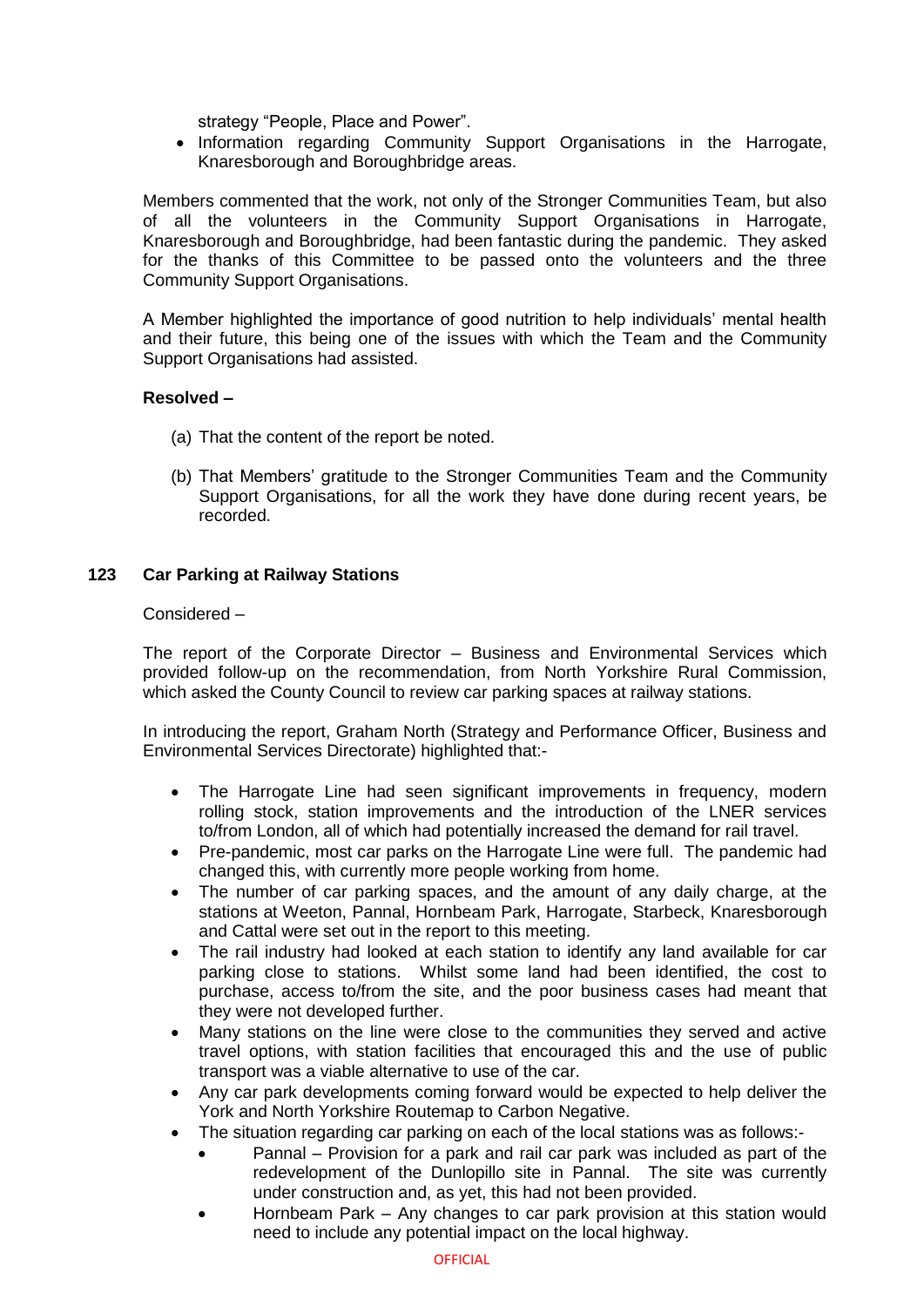strategy "People, Place and Power".

• Information regarding Community Support Organisations in the Harrogate, Knaresborough and Boroughbridge areas.

Members commented that the work, not only of the Stronger Communities Team, but also of all the volunteers in the Community Support Organisations in Harrogate, Knaresborough and Boroughbridge, had been fantastic during the pandemic. They asked for the thanks of this Committee to be passed onto the volunteers and the three Community Support Organisations.

A Member highlighted the importance of good nutrition to help individuals' mental health and their future, this being one of the issues with which the Team and the Community Support Organisations had assisted.

## **Resolved –**

- (a) That the content of the report be noted.
- (b) That Members' gratitude to the Stronger Communities Team and the Community Support Organisations, for all the work they have done during recent years, be recorded.

# **123 Car Parking at Railway Stations**

#### Considered –

The report of the Corporate Director – Business and Environmental Services which provided follow-up on the recommendation, from North Yorkshire Rural Commission, which asked the County Council to review car parking spaces at railway stations.

In introducing the report, Graham North (Strategy and Performance Officer, Business and Environmental Services Directorate) highlighted that:-

- The Harrogate Line had seen significant improvements in frequency, modern rolling stock, station improvements and the introduction of the LNER services to/from London, all of which had potentially increased the demand for rail travel.
- Pre-pandemic, most car parks on the Harrogate Line were full. The pandemic had changed this, with currently more people working from home.
- The number of car parking spaces, and the amount of any daily charge, at the stations at Weeton, Pannal, Hornbeam Park, Harrogate, Starbeck, Knaresborough and Cattal were set out in the report to this meeting.
- The rail industry had looked at each station to identify any land available for car parking close to stations. Whilst some land had been identified, the cost to purchase, access to/from the site, and the poor business cases had meant that they were not developed further.
- Many stations on the line were close to the communities they served and active travel options, with station facilities that encouraged this and the use of public transport was a viable alternative to use of the car.
- Any car park developments coming forward would be expected to help deliver the York and North Yorkshire Routemap to Carbon Negative.
- The situation regarding car parking on each of the local stations was as follows:-
	- Pannal Provision for a park and rail car park was included as part of the redevelopment of the Dunlopillo site in Pannal. The site was currently under construction and, as yet, this had not been provided.
	- Hornbeam Park Any changes to car park provision at this station would need to include any potential impact on the local highway.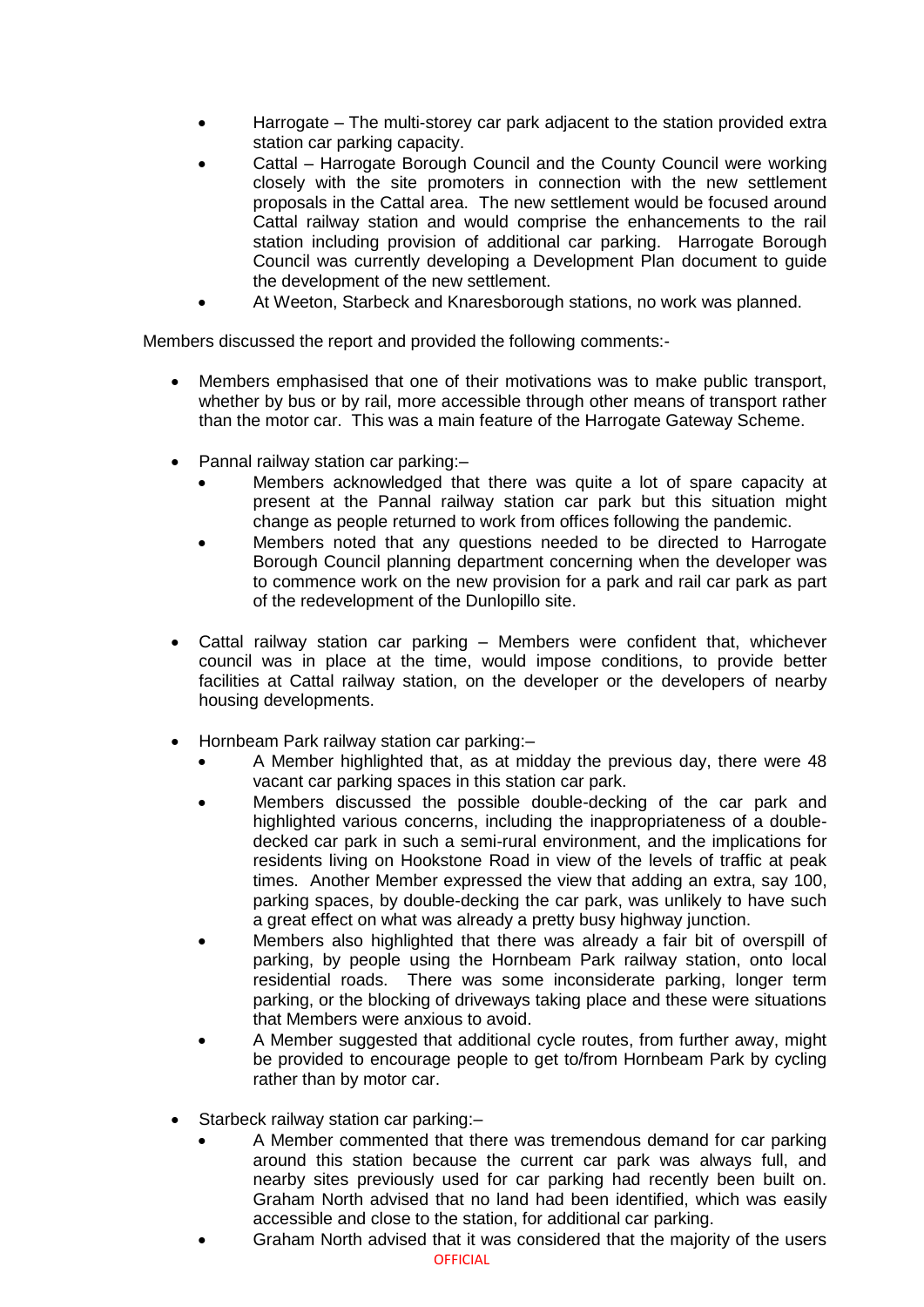- Harrogate The multi-storey car park adjacent to the station provided extra station car parking capacity.
- Cattal Harrogate Borough Council and the County Council were working closely with the site promoters in connection with the new settlement proposals in the Cattal area. The new settlement would be focused around Cattal railway station and would comprise the enhancements to the rail station including provision of additional car parking. Harrogate Borough Council was currently developing a Development Plan document to guide the development of the new settlement.
- At Weeton, Starbeck and Knaresborough stations, no work was planned.

Members discussed the report and provided the following comments:-

- Members emphasised that one of their motivations was to make public transport, whether by bus or by rail, more accessible through other means of transport rather than the motor car. This was a main feature of the Harrogate Gateway Scheme.
- Pannal railway station car parking:
	- Members acknowledged that there was quite a lot of spare capacity at present at the Pannal railway station car park but this situation might change as people returned to work from offices following the pandemic.
	- Members noted that any questions needed to be directed to Harrogate Borough Council planning department concerning when the developer was to commence work on the new provision for a park and rail car park as part of the redevelopment of the Dunlopillo site.
- Cattal railway station car parking Members were confident that, whichever council was in place at the time, would impose conditions, to provide better facilities at Cattal railway station, on the developer or the developers of nearby housing developments.
- Hornbeam Park railway station car parking:–
	- A Member highlighted that, as at midday the previous day, there were 48 vacant car parking spaces in this station car park.
	- Members discussed the possible double-decking of the car park and highlighted various concerns, including the inappropriateness of a doubledecked car park in such a semi-rural environment, and the implications for residents living on Hookstone Road in view of the levels of traffic at peak times. Another Member expressed the view that adding an extra, say 100, parking spaces, by double-decking the car park, was unlikely to have such a great effect on what was already a pretty busy highway junction.
	- Members also highlighted that there was already a fair bit of overspill of parking, by people using the Hornbeam Park railway station, onto local residential roads. There was some inconsiderate parking, longer term parking, or the blocking of driveways taking place and these were situations that Members were anxious to avoid.
	- A Member suggested that additional cycle routes, from further away, might be provided to encourage people to get to/from Hornbeam Park by cycling rather than by motor car.
- Starbeck railway station car parking:–
	- A Member commented that there was tremendous demand for car parking around this station because the current car park was always full, and nearby sites previously used for car parking had recently been built on. Graham North advised that no land had been identified, which was easily accessible and close to the station, for additional car parking.
	- Graham North advised that it was considered that the majority of the users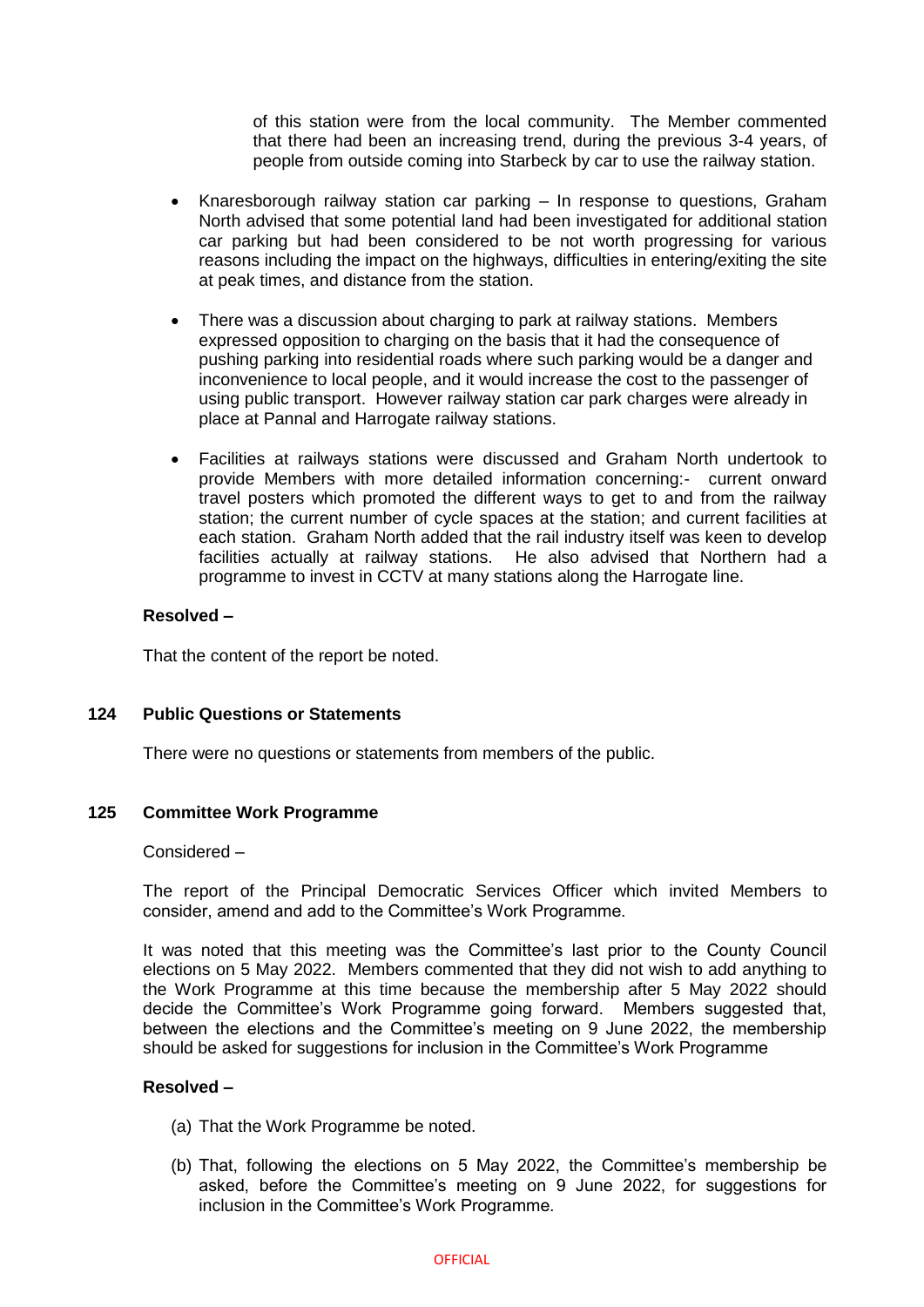of this station were from the local community. The Member commented that there had been an increasing trend, during the previous 3-4 years, of people from outside coming into Starbeck by car to use the railway station.

- Knaresborough railway station car parking In response to questions, Graham North advised that some potential land had been investigated for additional station car parking but had been considered to be not worth progressing for various reasons including the impact on the highways, difficulties in entering/exiting the site at peak times, and distance from the station.
- There was a discussion about charging to park at railway stations. Members expressed opposition to charging on the basis that it had the consequence of pushing parking into residential roads where such parking would be a danger and inconvenience to local people, and it would increase the cost to the passenger of using public transport. However railway station car park charges were already in place at Pannal and Harrogate railway stations.
- Facilities at railways stations were discussed and Graham North undertook to provide Members with more detailed information concerning:- current onward travel posters which promoted the different ways to get to and from the railway station; the current number of cycle spaces at the station; and current facilities at each station. Graham North added that the rail industry itself was keen to develop facilities actually at railway stations. He also advised that Northern had a programme to invest in CCTV at many stations along the Harrogate line.

## **Resolved –**

That the content of the report be noted.

#### **124 Public Questions or Statements**

There were no questions or statements from members of the public.

# **125 Committee Work Programme**

#### Considered –

The report of the Principal Democratic Services Officer which invited Members to consider, amend and add to the Committee's Work Programme.

It was noted that this meeting was the Committee's last prior to the County Council elections on 5 May 2022. Members commented that they did not wish to add anything to the Work Programme at this time because the membership after 5 May 2022 should decide the Committee's Work Programme going forward. Members suggested that, between the elections and the Committee's meeting on 9 June 2022, the membership should be asked for suggestions for inclusion in the Committee's Work Programme

## **Resolved –**

- (a) That the Work Programme be noted.
- (b) That, following the elections on 5 May 2022, the Committee's membership be asked, before the Committee's meeting on 9 June 2022, for suggestions for inclusion in the Committee's Work Programme.